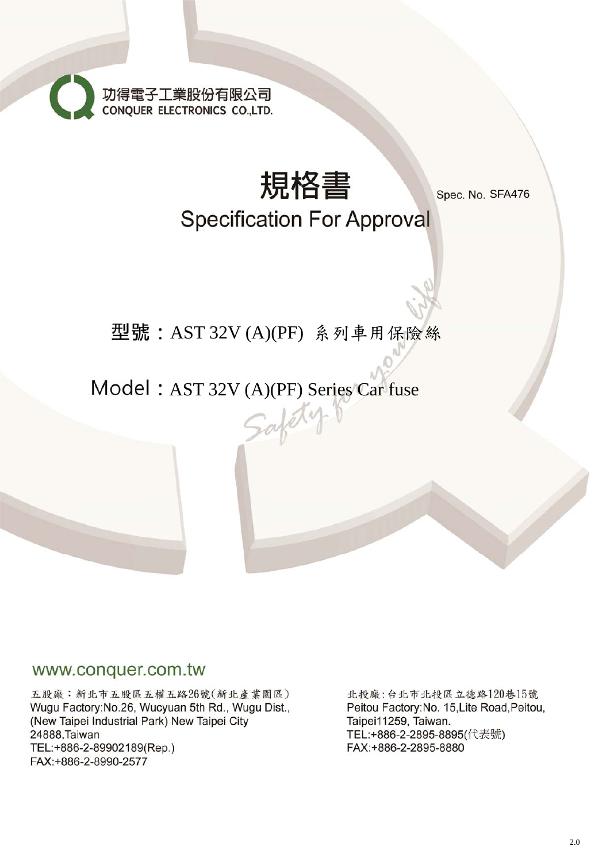



Spec. No. SFA476

# **Specification For Approval**

## AST 32V (A)(PF) 系列車用保險絲

# Model: AST 32V (A)(PF) Series Car fuse

## www.conquer.com.tw

五股廠:新北市五股區五權五路26號(新北產業園區) Wugu Factory: No.26, Wucyuan 5th Rd., Wugu Dist., (New Taipei Industrial Park) New Taipei City 24888, Taiwan TEL:+886-2-89902189(Rep.) FAX:+886-2-8990-2577

北投廠:台北市北投區立德路120巷15號 Peitou Factory: No. 15, Lite Road, Peitou, Taipei11259, Taiwan. TEL:+886-2-2895-8895(代表號) FAX:+886-2-2895-8880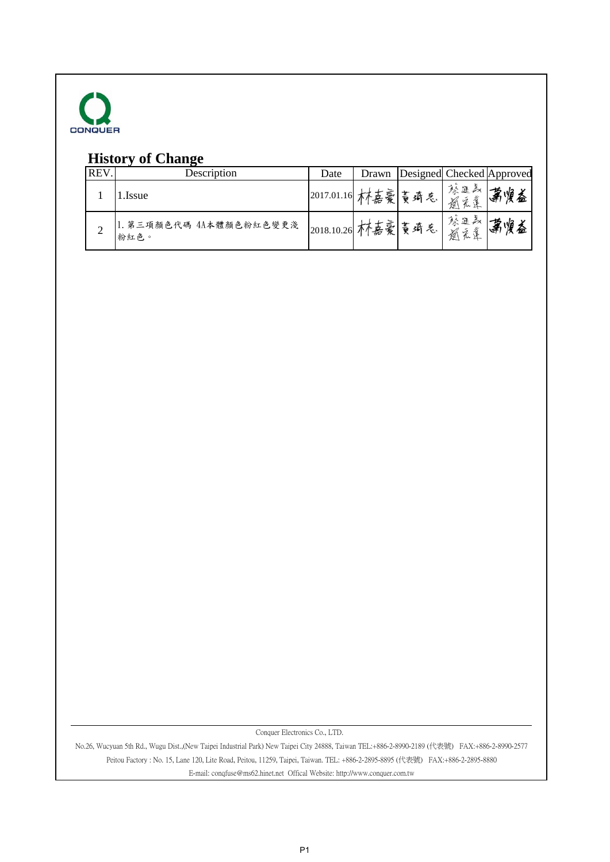

## **History of Change**

| <b>REV</b> | Description                     | Date               | Drawn |     |                | Designed Checked Approved |
|------------|---------------------------------|--------------------|-------|-----|----------------|---------------------------|
|            | .Issue                          | 2017.01.16  木寿豪  。 |       | 蔓琦气 | 蘇進義<br>通<br>系漢 | 萧 惶益                      |
|            | 1. 第三項顏色代碼 4A本體顏色粉紅色變更淺<br>粉紅色。 | 2018.10.26         | 林嘉豪   | 黄琦气 | 蘇進義<br>通<br>宪章 | ```燠益<br>☞                |

Conquer Electronics Co., LTD.

No.26, Wucyuan 5th Rd., Wugu Dist.,(New Taipei Industrial Park) New Taipei City 24888, Taiwan TEL:+886-2-8990-2189 (代表號) FAX:+886-2-8990-2577 Peitou Factory : No. 15, Lane 120, Lite Road, Peitou, 11259, Taipei, Taiwan. TEL: +886-2-2895-8895 (代表號) FAX:+886-2-2895-8880 E-mail: conqfuse@ms62.hinet.net Offical Website: http://www.conquer.com.tw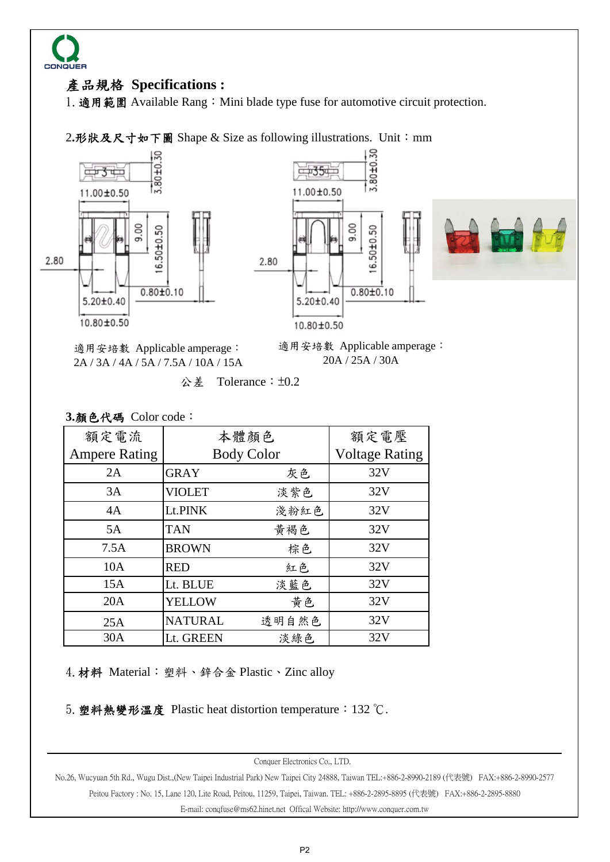

## 產品規格 **Specifications :**

1. 適用範圍 Available Rang: Mini blade type fuse for automotive circuit protection.

2.形狀及尺寸如下圖 Shape & Size as following illustrations. Unit: mm







適用安培數 Applicable amperage: 2A / 3A / 4A / 5A / 7.5A / 10A / 15A 適用安培數 Applicable amperage: 20A / 25A / 30A

 $\lambda \neq 0.2$  Tolerance:  $\pm 0.2$ 

|  | 3.顏色代碼 Color code: |  |
|--|--------------------|--|
|--|--------------------|--|

| 額定電流                 | 本體顏色              | 額定電壓                  |     |  |
|----------------------|-------------------|-----------------------|-----|--|
| <b>Ampere Rating</b> | <b>Body Color</b> | <b>Voltage Rating</b> |     |  |
| 2A                   | <b>GRAY</b>       | 灰色                    | 32V |  |
| 3A                   | <b>VIOLET</b>     | 淡紫色                   | 32V |  |
| 4A                   | Lt.PINK           | 淺粉紅色                  | 32V |  |
| 5A                   | <b>TAN</b>        | 黃褐色                   | 32V |  |
| 7.5A                 | <b>BROWN</b>      | 棕色                    | 32V |  |
| 10A                  | <b>RED</b>        | 紅色                    | 32V |  |
| 15A                  | Lt. BLUE          | 淡藍色                   | 32V |  |
| 20A                  | <b>YELLOW</b>     | 黄色                    | 32V |  |
| 25A                  | <b>NATURAL</b>    | 透明自然色                 | 32V |  |
| 30A                  | Lt. GREEN         | 淡綠色                   | 32V |  |

4. 材料 Material: 塑料、鋅合金 Plastic、Zinc alloy

5.塑料熱變形溫度 Plastic heat distortion temperature:132 ℃.

Conquer Electronics Co., LTD.

E-mail: conqfuse@ms62.hinet.net Offical Website: http://www.conquer.com.tw Peitou Factory : No. 15, Lane 120, Lite Road, Peitou, 11259, Taipei, Taiwan. TEL: +886-2-2895-8895 (代表號) FAX:+886-2-2895-8880 No.26, Wucyuan 5th Rd., Wugu Dist.,(New Taipei Industrial Park) New Taipei City 24888, Taiwan TEL:+886-2-8990-2189 (代表號) FAX:+886-2-8990-2577